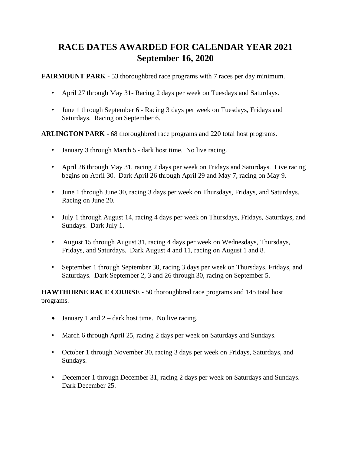## **RACE DATES AWARDED FOR CALENDAR YEAR 2021 September 16, 2020**

**FAIRMOUNT PARK** - 53 thoroughbred race programs with 7 races per day minimum.

- April 27 through May 31- Racing 2 days per week on Tuesdays and Saturdays.
- June 1 through September 6 Racing 3 days per week on Tuesdays, Fridays and Saturdays. Racing on September 6.

**ARLINGTON PARK** - 68 thoroughbred race programs and 220 total host programs.

- January 3 through March 5 dark host time. No live racing.
- April 26 through May 31, racing 2 days per week on Fridays and Saturdays. Live racing begins on April 30. Dark April 26 through April 29 and May 7, racing on May 9.
- June 1 through June 30, racing 3 days per week on Thursdays, Fridays, and Saturdays. Racing on June 20.
- July 1 through August 14, racing 4 days per week on Thursdays, Fridays, Saturdays, and Sundays. Dark July 1.
- August 15 through August 31, racing 4 days per week on Wednesdays, Thursdays, Fridays, and Saturdays. Dark August 4 and 11, racing on August 1 and 8.
- September 1 through September 30, racing 3 days per week on Thursdays, Fridays, and Saturdays. Dark September 2, 3 and 26 through 30, racing on September 5.

**HAWTHORNE RACE COURSE** - 50 thoroughbred race programs and 145 total host programs.

- January 1 and  $2 -$  dark host time. No live racing.
- March 6 through April 25, racing 2 days per week on Saturdays and Sundays.
- October 1 through November 30, racing 3 days per week on Fridays, Saturdays, and Sundays.
- December 1 through December 31, racing 2 days per week on Saturdays and Sundays. Dark December 25.